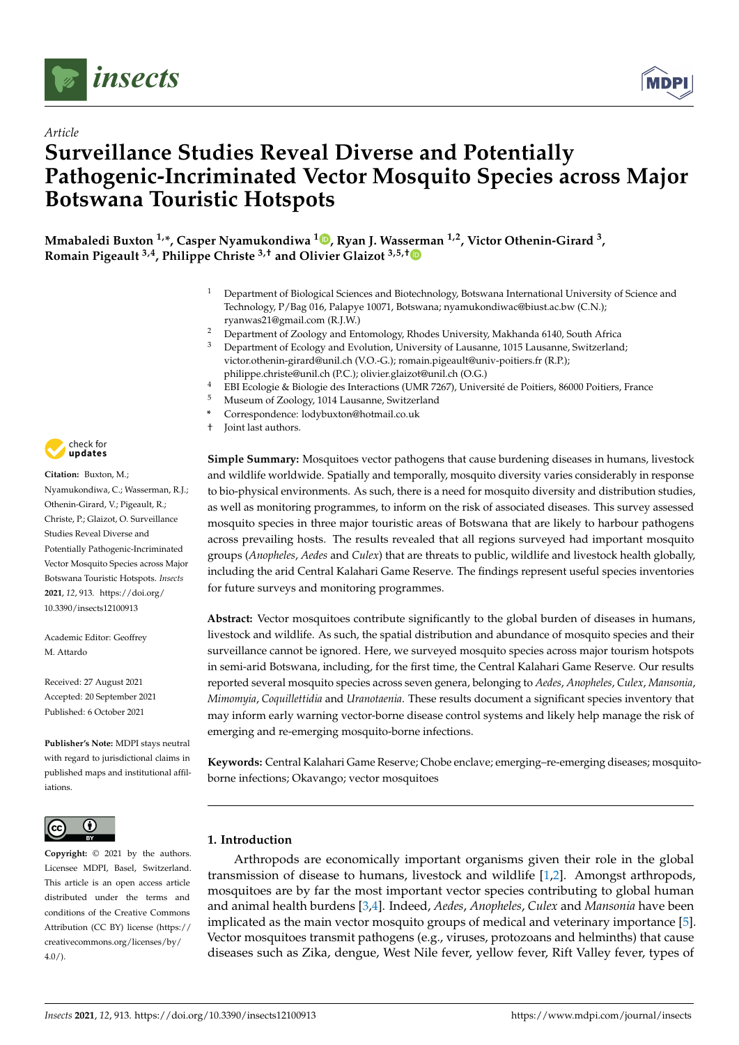

*Article*



# **Surveillance Studies Reveal Diverse and Potentially Pathogenic-Incriminated Vector Mosquito Species across Major Botswana Touristic Hotspots**

**Mmabaledi Buxton 1,\*, Casper Nyamukondiwa <sup>1</sup> [,](https://orcid.org/0000-0002-0395-4980) Ryan J. Wasserman 1,2, Victor Othenin-Girard <sup>3</sup> , Romain Pigeault 3,4, Philippe Christe 3,† and Olivier Glaizot 3,5,[†](https://orcid.org/0000-0001-9116-3355)**

- <sup>1</sup> Department of Biological Sciences and Biotechnology, Botswana International University of Science and Technology, P/Bag 016, Palapye 10071, Botswana; nyamukondiwac@biust.ac.bw (C.N.); ryanwas21@gmail.com (R.J.W.)
- <sup>2</sup> Department of Zoology and Entomology, Rhodes University, Makhanda 6140, South Africa<br><sup>3</sup> Department of Ecology and Evolution, University of Lausanne, 1015 Lausanne, Switzerland
- <sup>3</sup> Department of Ecology and Evolution, University of Lausanne, 1015 Lausanne, Switzerland; victor.othenin-girard@unil.ch (V.O.-G.); romain.pigeault@univ-poitiers.fr (R.P.); philippe.christe@unil.ch (P.C.); olivier.glaizot@unil.ch (O.G.)
- <sup>4</sup> EBI Ecologie & Biologie des Interactions (UMR 7267), Université de Poitiers, 86000 Poitiers, France<br><sup>5</sup> Museum of Zoology 1014 Lauganne, Suitzgrland
	- <sup>5</sup> Museum of Zoology, 1014 Lausanne, Switzerland
- **\*** Correspondence: lodybuxton@hotmail.co.uk
- † Joint last authors.

**Simple Summary:** Mosquitoes vector pathogens that cause burdening diseases in humans, livestock and wildlife worldwide. Spatially and temporally, mosquito diversity varies considerably in response to bio-physical environments. As such, there is a need for mosquito diversity and distribution studies, as well as monitoring programmes, to inform on the risk of associated diseases. This survey assessed mosquito species in three major touristic areas of Botswana that are likely to harbour pathogens across prevailing hosts. The results revealed that all regions surveyed had important mosquito groups (*Anopheles*, *Aedes* and *Culex*) that are threats to public, wildlife and livestock health globally, including the arid Central Kalahari Game Reserve. The findings represent useful species inventories for future surveys and monitoring programmes.

**Abstract:** Vector mosquitoes contribute significantly to the global burden of diseases in humans, livestock and wildlife. As such, the spatial distribution and abundance of mosquito species and their surveillance cannot be ignored. Here, we surveyed mosquito species across major tourism hotspots in semi-arid Botswana, including, for the first time, the Central Kalahari Game Reserve. Our results reported several mosquito species across seven genera, belonging to *Aedes*, *Anopheles*, *Culex*, *Mansonia*, *Mimomyia*, *Coquillettidia* and *Uranotaenia*. These results document a significant species inventory that may inform early warning vector-borne disease control systems and likely help manage the risk of emerging and re-emerging mosquito-borne infections.

**Keywords:** Central Kalahari Game Reserve; Chobe enclave; emerging–re-emerging diseases; mosquitoborne infections; Okavango; vector mosquitoes

# **1. Introduction**

Arthropods are economically important organisms given their role in the global transmission of disease to humans, livestock and wildlife [\[1,](#page-9-0)[2\]](#page-9-1). Amongst arthropods, mosquitoes are by far the most important vector species contributing to global human and animal health burdens [\[3,](#page-9-2)[4\]](#page-9-3). Indeed, *Aedes*, *Anopheles*, *Culex* and *Mansonia* have been implicated as the main vector mosquito groups of medical and veterinary importance [\[5\]](#page-9-4). Vector mosquitoes transmit pathogens (e.g., viruses, protozoans and helminths) that cause diseases such as Zika, dengue, West Nile fever, yellow fever, Rift Valley fever, types of



**Citation:** Buxton, M.; Nyamukondiwa, C.; Wasserman, R.J.; Othenin-Girard, V.; Pigeault, R.; Christe, P.; Glaizot, O. Surveillance Studies Reveal Diverse and Potentially Pathogenic-Incriminated Vector Mosquito Species across Major Botswana Touristic Hotspots. *Insects* **2021**, *12*, 913. [https://doi.org/](https://doi.org/10.3390/insects12100913) [10.3390/insects12100913](https://doi.org/10.3390/insects12100913)

Academic Editor: Geoffrey M. Attardo

Received: 27 August 2021 Accepted: 20 September 2021 Published: 6 October 2021

**Publisher's Note:** MDPI stays neutral with regard to jurisdictional claims in published maps and institutional affiliations.



**Copyright:** © 2021 by the authors. Licensee MDPI, Basel, Switzerland. This article is an open access article distributed under the terms and conditions of the Creative Commons Attribution (CC BY) license (https:/[/](https://creativecommons.org/licenses/by/4.0/) [creativecommons.org/licenses/by/](https://creativecommons.org/licenses/by/4.0/)  $4.0/$ ).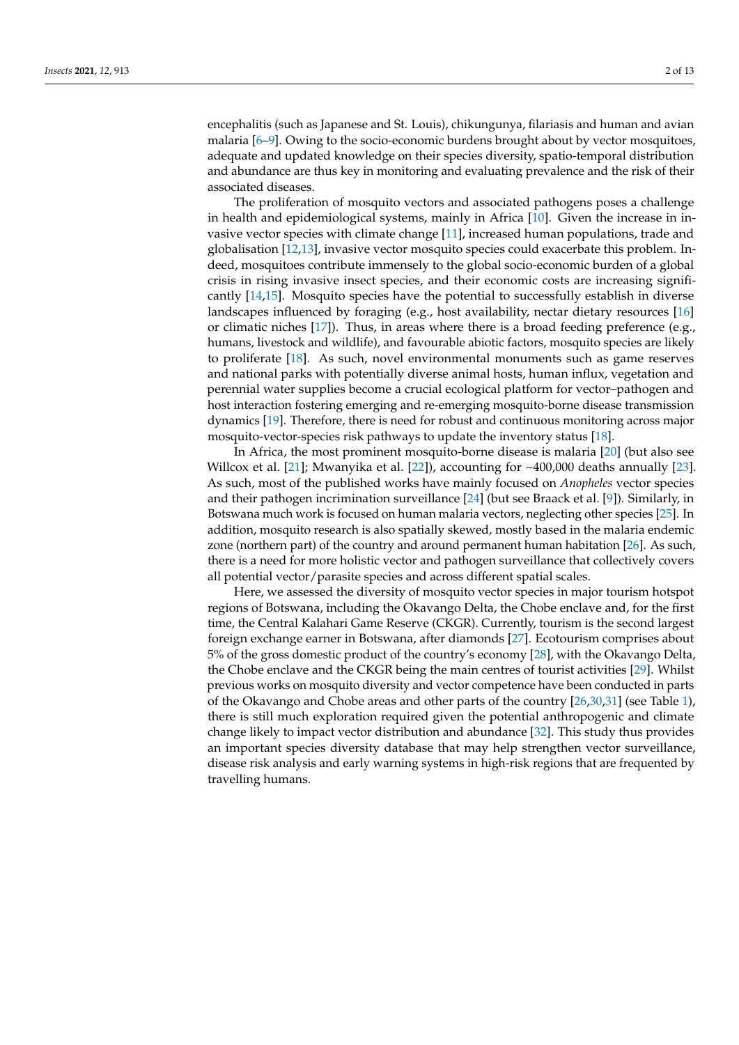encephalitis (such as Japanese and St. Louis), chikungunya, filariasis and human and avian malaria [\[6](#page-9-5)[–9\]](#page-9-6). Owing to the socio-economic burdens brought about by vector mosquitoes, adequate and updated knowledge on their species diversity, spatio-temporal distribution and abundance are thus key in monitoring and evaluating prevalence and the risk of their associated diseases.

The proliferation of mosquito vectors and associated pathogens poses a challenge in health and epidemiological systems, mainly in Africa [\[10\]](#page-9-7). Given the increase in invasive vector species with climate change [\[11\]](#page-10-0), increased human populations, trade and globalisation [\[12](#page-10-1)[,13\]](#page-10-2), invasive vector mosquito species could exacerbate this problem. Indeed, mosquitoes contribute immensely to the global socio-economic burden of a global crisis in rising invasive insect species, and their economic costs are increasing significantly [\[14](#page-10-3)[,15\]](#page-10-4). Mosquito species have the potential to successfully establish in diverse landscapes influenced by foraging (e.g., host availability, nectar dietary resources [\[16\]](#page-10-5) or climatic niches [\[17\]](#page-10-6)). Thus, in areas where there is a broad feeding preference (e.g., humans, livestock and wildlife), and favourable abiotic factors, mosquito species are likely to proliferate [\[18\]](#page-10-7). As such, novel environmental monuments such as game reserves and national parks with potentially diverse animal hosts, human influx, vegetation and perennial water supplies become a crucial ecological platform for vector–pathogen and host interaction fostering emerging and re-emerging mosquito-borne disease transmission dynamics [\[19\]](#page-10-8). Therefore, there is need for robust and continuous monitoring across major mosquito-vector-species risk pathways to update the inventory status [\[18\]](#page-10-7).

In Africa, the most prominent mosquito-borne disease is malaria [\[20\]](#page-10-9) (but also see Willcox et al. [\[21\]](#page-10-10); Mwanyika et al. [\[22\]](#page-10-11)), accounting for ~400,000 deaths annually [\[23\]](#page-10-12). As such, most of the published works have mainly focused on *Anopheles* vector species and their pathogen incrimination surveillance [\[24\]](#page-10-13) (but see Braack et al. [\[9\]](#page-9-6)). Similarly, in Botswana much work is focused on human malaria vectors, neglecting other species [\[25\]](#page-10-14). In addition, mosquito research is also spatially skewed, mostly based in the malaria endemic zone (northern part) of the country and around permanent human habitation [\[26\]](#page-10-15). As such, there is a need for more holistic vector and pathogen surveillance that collectively covers all potential vector/parasite species and across different spatial scales.

Here, we assessed the diversity of mosquito vector species in major tourism hotspot regions of Botswana, including the Okavango Delta, the Chobe enclave and, for the first time, the Central Kalahari Game Reserve (CKGR). Currently, tourism is the second largest foreign exchange earner in Botswana, after diamonds [\[27\]](#page-10-16). Ecotourism comprises about 5% of the gross domestic product of the country's economy [\[28\]](#page-10-17), with the Okavango Delta, the Chobe enclave and the CKGR being the main centres of tourist activities [\[29\]](#page-10-18). Whilst previous works on mosquito diversity and vector competence have been conducted in parts of the Okavango and Chobe areas and other parts of the country [\[26](#page-10-15)[,30](#page-10-19)[,31\]](#page-10-20) (see Table [1\)](#page-2-0), there is still much exploration required given the potential anthropogenic and climate change likely to impact vector distribution and abundance [\[32\]](#page-10-21). This study thus provides an important species diversity database that may help strengthen vector surveillance, disease risk analysis and early warning systems in high-risk regions that are frequented by travelling humans.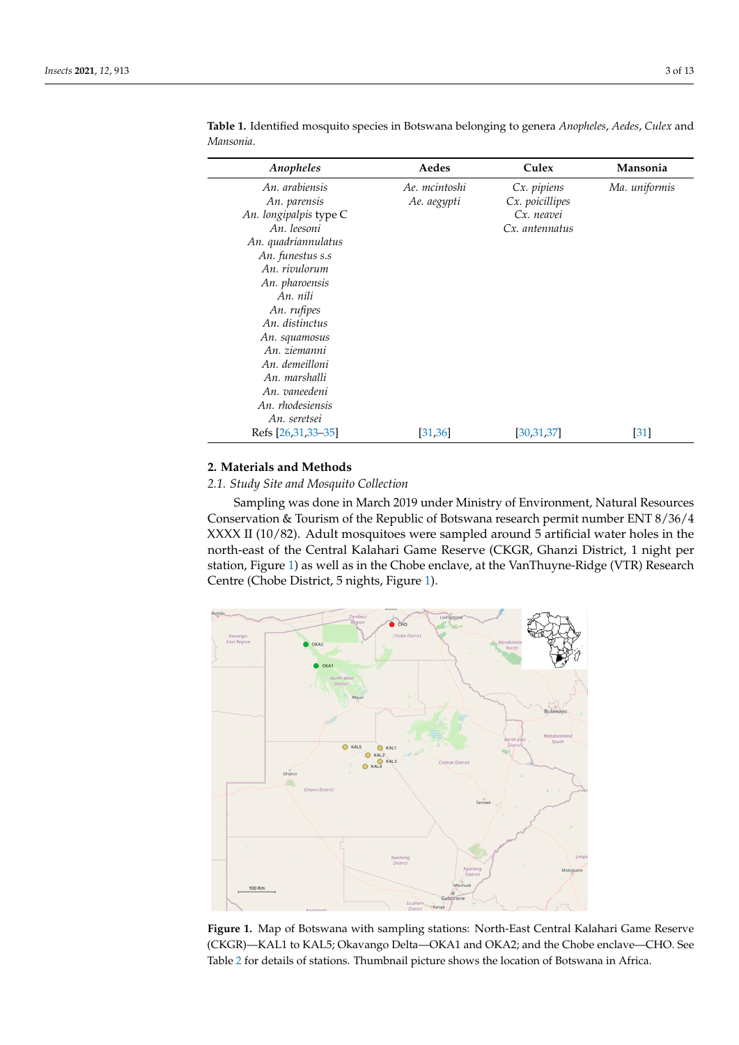| Anopheles              | Aedes         | Culex           | Mansonia          |
|------------------------|---------------|-----------------|-------------------|
| An. arabiensis         | Ae. mcintoshi | Cx. pipiens     | Ma. uniformis     |
| An. parensis           | Ae. aegypti   | Cx. poicillipes |                   |
| An. longipalpis type C |               | Cx. neavei      |                   |
| An. leesoni            |               | Cx. antennatus  |                   |
| An. quadriannulatus    |               |                 |                   |
| An. funestus s.s       |               |                 |                   |
| An. rivulorum          |               |                 |                   |
| An. pharoensis         |               |                 |                   |
| An. nili               |               |                 |                   |
| An. rufipes            |               |                 |                   |
| An. distinctus         |               |                 |                   |
| An. squamosus          |               |                 |                   |
| An. ziemanni           |               |                 |                   |
| An. demeilloni         |               |                 |                   |
| An. marshalli          |               |                 |                   |
| An. vaneedeni          |               |                 |                   |
| An. rhodesiensis       |               |                 |                   |
| An. seretsei           |               |                 |                   |
| Refs [26,31,33–35]     | [31, 36]      | [30,31,37]      | $\left[31\right]$ |

<span id="page-2-0"></span>**Table 1.** Identified mosquito species in Botswana belonging to genera *Anopheles*, *Aedes*, *Culex* and *Mansonia*.

# **2. Materials and Methods**

*2.1. Study Site and Mosquito Collection An. seretsei*   $\mu$  *i Niosquito* Conection

Sampling was done in March 2019 under Ministry of Environment, Natural Resources<br><u>2</u> Conservation & Tourism of the Republic of Botswana research permit number ENT 8/36/4 *2.1. Study Site and Mosquito Collection*   $\rm XXXX$  II (10/82). Adult mosquitoes were sampled around 5 artificial water holes in the north-east of the Central Kalahari Game Reserve (CKGR, Ghanzi District, 1 night per station, Figure [1\)](#page-2-1) as well as in the Chobe enclave, at the VanThuyne-Ridge (VTR) Research Centre (Chobe District, 5 nights, Figure [1\)](#page-2-1). holes in the north-east of the Central Kalahari Game Reserve (CKGR, Ghanzi District, 1

<span id="page-2-1"></span>

**Figure 1.** Map of Botswana with sampling stations: North-East Central Kalahari Game Reserve (CKGR)—KAL1 to KAL5; Okavango Delta—OKA1 and OKA2; and the Chobe enclave—CHO. See Table [2](#page-3-0) for details of stations. Thumbnail picture shows the location of Botswana in Africa.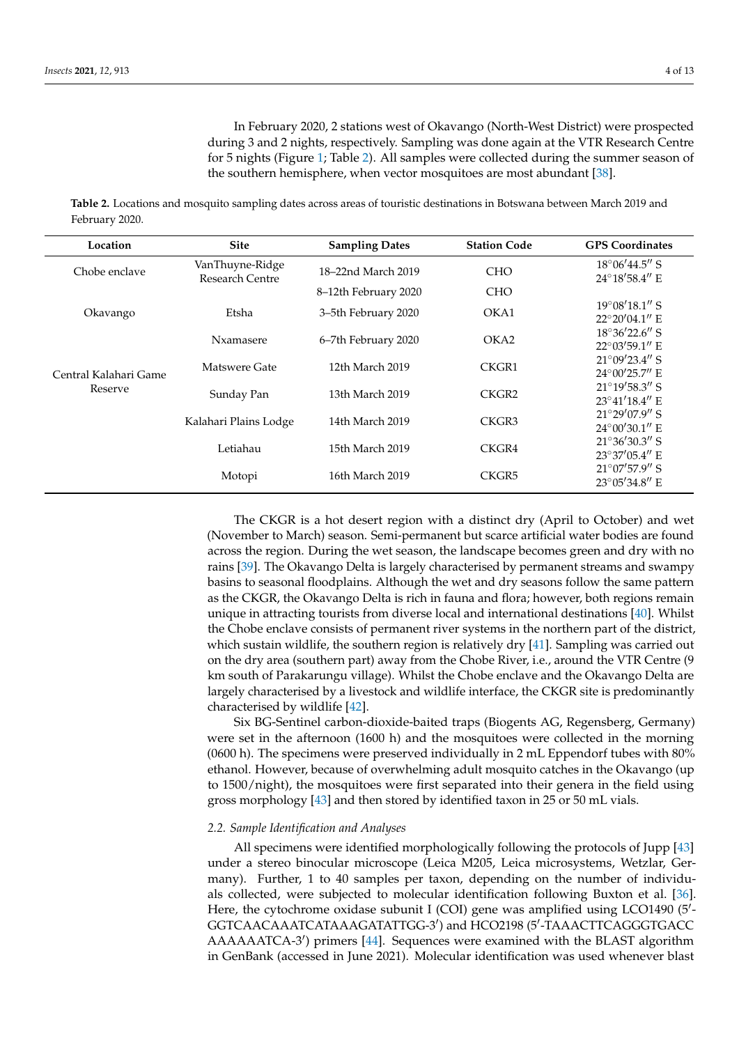In February 2020, 2 stations west of Okavango (North-West District) were prospected during 3 and 2 nights, respectively. Sampling was done again at the VTR Research Centre for 5 nights (Figure [1;](#page-2-1) Table [2\)](#page-3-0). All samples were collected during the summer season of the southern hemisphere, when vector mosquitoes are most abundant [\[38\]](#page-10-26).

<span id="page-3-0"></span>**Table 2.** Locations and mosquito sampling dates across areas of touristic destinations in Botswana between March 2019 and February 2020.

| Location                         | <b>Site</b>                        | <b>Sampling Dates</b> | <b>Station Code</b> | <b>GPS</b> Coordinates                             |
|----------------------------------|------------------------------------|-----------------------|---------------------|----------------------------------------------------|
| Chobe enclave                    | VanThuyne-Ridge<br>Research Centre | 18–22nd March 2019    | <b>CHO</b>          | $18^{\circ}06'44.5''$ S<br>24°18'58.4" E           |
|                                  |                                    | 8–12th February 2020  | <b>CHO</b>          |                                                    |
| Okavango                         | Etsha                              | 3–5th February 2020   | OKA1                | $19^{\circ}08'18.1''$ S<br>$22^{\circ}20'04.1''$ E |
|                                  | Nxamasere                          | 6-7th February 2020   | OKA2                | $18^{\circ}36'22.6''$ S<br>$22^{\circ}03'59.1''$ E |
| Central Kalahari Game<br>Reserve | Matswere Gate                      | 12th March 2019       | CKGR1               | $21^{\circ}09'23.4''$ S<br>$24^{\circ}00'25.7''$ E |
|                                  | Sunday Pan                         | 13th March 2019       | CKGR <sub>2</sub>   | $21^{\circ}19'58.3''$ S<br>23°41'18.4" E           |
|                                  | Kalahari Plains Lodge              | 14th March 2019       | CKGR3               | $21°29'07.9''$ S<br>$24^{\circ}00'30.1''$ E        |
|                                  | Letiahau                           | 15th March 2019       | CKGR4               | $21^{\circ}36'30.3''$ S<br>$23^{\circ}37'05.4''$ E |
|                                  | Motopi                             | 16th March 2019       | CKGR5               | $21^{\circ}07'57.9''$ S<br>23°05'34.8" E           |

The CKGR is a hot desert region with a distinct dry (April to October) and wet (November to March) season. Semi-permanent but scarce artificial water bodies are found across the region. During the wet season, the landscape becomes green and dry with no rains [\[39\]](#page-11-0). The Okavango Delta is largely characterised by permanent streams and swampy basins to seasonal floodplains. Although the wet and dry seasons follow the same pattern as the CKGR, the Okavango Delta is rich in fauna and flora; however, both regions remain unique in attracting tourists from diverse local and international destinations [\[40\]](#page-11-1). Whilst the Chobe enclave consists of permanent river systems in the northern part of the district, which sustain wildlife, the southern region is relatively dry [\[41\]](#page-11-2). Sampling was carried out on the dry area (southern part) away from the Chobe River, i.e., around the VTR Centre (9 km south of Parakarungu village). Whilst the Chobe enclave and the Okavango Delta are largely characterised by a livestock and wildlife interface, the CKGR site is predominantly characterised by wildlife [\[42\]](#page-11-3).

Six BG-Sentinel carbon-dioxide-baited traps (Biogents AG, Regensberg, Germany) were set in the afternoon (1600 h) and the mosquitoes were collected in the morning (0600 h). The specimens were preserved individually in 2 mL Eppendorf tubes with 80% ethanol. However, because of overwhelming adult mosquito catches in the Okavango (up to 1500/night), the mosquitoes were first separated into their genera in the field using gross morphology [\[43\]](#page-11-4) and then stored by identified taxon in 25 or 50 mL vials.

#### *2.2. Sample Identification and Analyses*

All specimens were identified morphologically following the protocols of Jupp [\[43\]](#page-11-4) under a stereo binocular microscope (Leica M205, Leica microsystems, Wetzlar, Germany). Further, 1 to 40 samples per taxon, depending on the number of individuals collected, were subjected to molecular identification following Buxton et al. [\[36\]](#page-10-24). Here, the cytochrome oxidase subunit I (COI) gene was amplified using LCO1490 (5'-GGTCAACAAATCATAAAGATATTGG-3') and HCO2198 (5'-TAAACTTCAGGGTGACC AAAAAATCA-3') primers [\[44\]](#page-11-5). Sequences were examined with the BLAST algorithm in GenBank (accessed in June 2021). Molecular identification was used whenever blast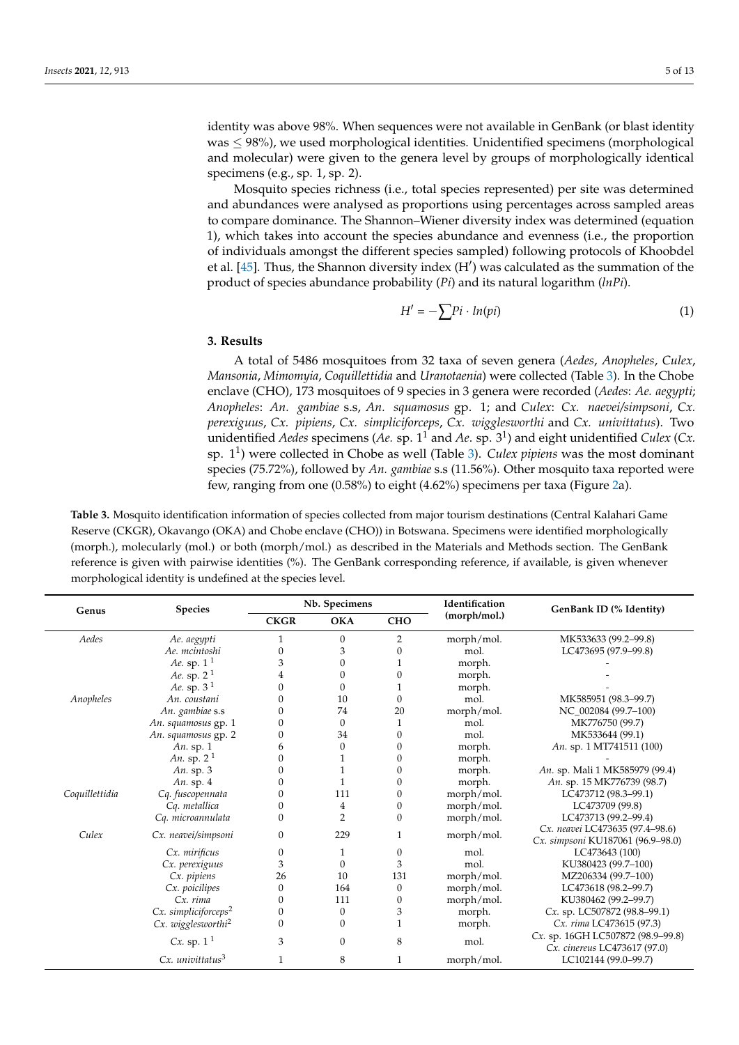identity was above 98%. When sequences were not available in GenBank (or blast identity  $was \leq 98\%)$ , we used morphological identities. Unidentified specimens (morphological and molecular) were given to the genera level by groups of morphologically identical specimens (e.g., sp. 1, sp. 2).

Mosquito species richness (i.e., total species represented) per site was determined and abundances were analysed as proportions using percentages across sampled areas to compare dominance. The Shannon–Wiener diversity index was determined (equation 1), which takes into account the species abundance and evenness (i.e., the proportion of individuals amongst the different species sampled) following protocols of Khoobdel et al. [\[45\]](#page-11-6). Thus, the Shannon diversity index  $(H')$  was calculated as the summation of the product of species abundance probability (*Pi*) and its natural logarithm (*lnPi*).

$$
H' = -\sum P_i \cdot ln(p_i) \tag{1}
$$

## **3. Results**

A total of 5486 mosquitoes from 32 taxa of seven genera (*Aedes*, *Anopheles*, *Culex*, *Mansonia*, *Mimomyia*, *Coquillettidia* and *Uranotaenia*) were collected (Table [3\)](#page-5-0). In the Chobe enclave (CHO), 173 mosquitoes of 9 species in 3 genera were recorded (*Aedes*: *Ae. aegypti*; *Anopheles*: *An. gambiae* s.s, *An. squamosus* gp. 1; and *Culex*: *Cx. naevei/simpsoni*, *Cx. perexiguus*, *Cx. pipiens*, *Cx. simpliciforceps*, *Cx. wigglesworthi* and *Cx. univittatus*). Two unidentified *Aedes* specimens (*Ae.* sp. 1<sup>1</sup> and *Ae*. sp. 3<sup>1</sup> ) and eight unidentified *Culex* (*Cx.* sp. 1<sup>1</sup> ) were collected in Chobe as well (Table [3\)](#page-5-0). *Culex pipiens* was the most dominant species (75.72%), followed by *An. gambiae* s.s (11.56%). Other mosquito taxa reported were few, ranging from one (0.58%) to eight (4.62%) specimens per taxa (Figure [2a](#page-6-0)).

**Table 3.** Mosquito identification information of species collected from major tourism destinations (Central Kalahari Game Reserve (CKGR), Okavango (OKA) and Chobe enclave (CHO)) in Botswana. Specimens were identified morphologically (morph.), molecularly (mol.) or both (morph/mol.) as described in the Materials and Methods section. The GenBank reference is given with pairwise identities (%). The GenBank corresponding reference, if available, is given whenever morphological identity is undefined at the species level.

| Genus          | <b>Species</b>                     | Nb. Specimens |                | Identification | GenBank ID (% Identity) |                                                                   |
|----------------|------------------------------------|---------------|----------------|----------------|-------------------------|-------------------------------------------------------------------|
|                |                                    | <b>CKGR</b>   | <b>OKA</b>     | <b>CHO</b>     | (morph/mol.)            |                                                                   |
| Aedes          | Ae. aegypti                        | 1             | $\mathbf{0}$   | $\overline{2}$ | morph/mol.              | MK533633 (99.2-99.8)                                              |
|                | Ae. mcintoshi                      | 0             | 3              | 0              | mol.                    | LC473695 (97.9-99.8)                                              |
|                | Ae. sp. $11$                       | 3             | $\Omega$       |                | morph.                  |                                                                   |
|                | Ae. sp. $21$                       | 4             | $\mathbf{0}$   | $\Omega$       | morph.                  |                                                                   |
|                | Ae. sp. $31$                       | 0             | $\Omega$       |                | morph.                  |                                                                   |
| Anopheles      | An. coustani                       | 0             | 10             | U              | mol.                    | MK585951 (98.3-99.7)                                              |
|                | An. gambiae s.s                    |               | 74             | 20             | morph/mol.              | NC 002084 (99.7-100)                                              |
|                | An. squamosus gp. 1                |               | $\mathbf{0}$   |                | mol.                    | MK776750 (99.7)                                                   |
|                | An. squamosus gp. 2                |               | 34             | $\Omega$       | mol.                    | MK533644 (99.1)                                                   |
|                | An. sp. $1$                        | 6             | $\mathbf{0}$   |                | morph.                  | An. sp. 1 MT741511 (100)                                          |
|                | An. sp. $21$                       | 0             |                |                | morph.                  |                                                                   |
|                | An. sp. $3$                        | 0             |                |                | morph.                  | An. sp. Mali 1 MK585979 (99.4)                                    |
|                | An. sp. 4                          |               |                |                | morph.                  | An. sp. 15 MK776739 (98.7)                                        |
| Coquillettidia | Cq. fuscopennata                   | 0             | 111            |                | morph/mol.              | LC473712 (98.3-99.1)                                              |
|                | Cq. metallica                      | 0             | 4              | 0              | morph/mol.              | LC473709 (99.8)                                                   |
|                | Cq. microannulata                  | 0             | $\overline{2}$ | 0              | morph/mol.              | LC473713 (99.2-99.4)                                              |
| Culex          | Cx. neavei/simpsoni                | 0             | 229            | 1              |                         | Cx. neavei LC473635 (97.4-98.6)                                   |
|                |                                    |               |                |                | morph/mol.              | Cx. simpsoni KU187061 (96.9-98.0)                                 |
|                | Cx. mirificus                      | 0             | 1              | $\theta$       | mol.                    | LC473643 (100)                                                    |
|                | Cx. perexiguus                     | 3             | $\theta$       | 3              | mol.                    | KU380423 (99.7-100)                                               |
|                | Cx. pipiens                        | 26            | 10             | 131            | morph/mol.              | MZ206334 (99.7-100)                                               |
|                | Cx. poicilipes                     | $\mathbf{0}$  | 164            | $\theta$       | morph/mol.              | LC473618 (98.2-99.7)                                              |
|                | Cx. rima                           | 0             | 111            | $\Omega$       | morph/mol.              | KU380462 (99.2-99.7)                                              |
|                | $Cx.$ simpliciforceps <sup>2</sup> | 0             | $\theta$       | 3              | morph.                  | Cx. sp. LC507872 (98.8-99.1)                                      |
|                | Cx. wigglesworthi <sup>2</sup>     | 0             | $\mathbf{0}$   |                | morph.                  | Cx. rima LC473615 (97.3)                                          |
|                | Cx. sp. $1^1$                      | 3             | $\mathbf{0}$   | 8              | mol.                    | Cx. sp. 16GH LC507872 (98.9-99.8)<br>Cx. cinereus LC473617 (97.0) |
|                | $Cx.$ univitatus $3$               | 1             | 8              | 1              | morph/mol.              | LC102144 (99.0-99.7)                                              |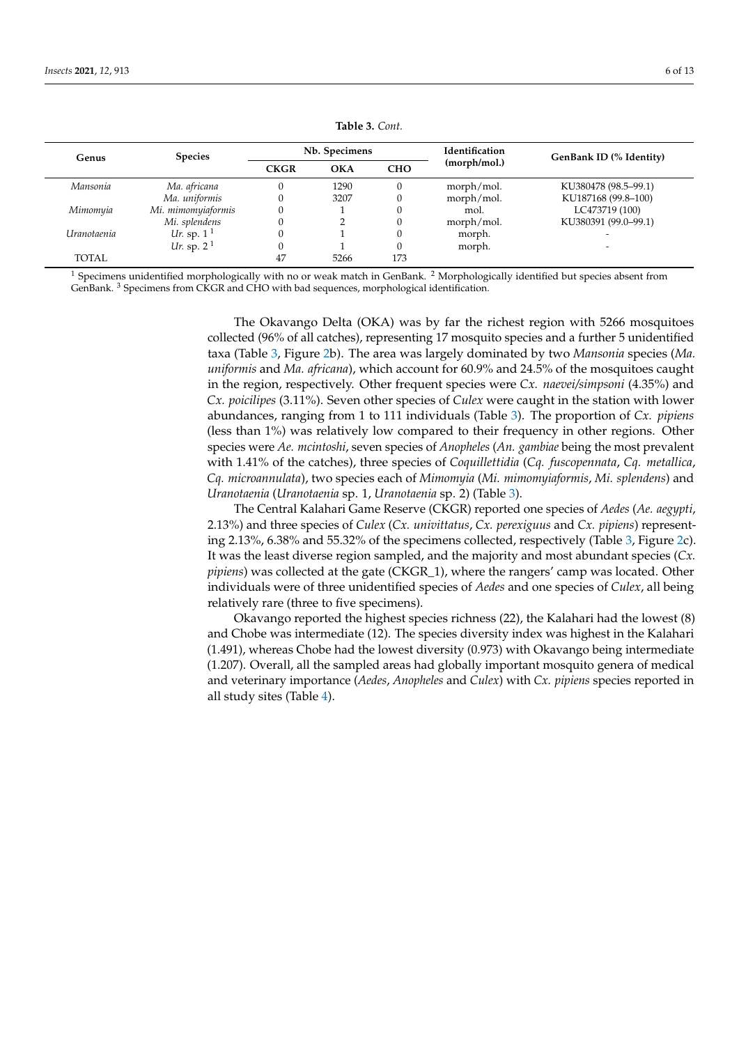<span id="page-5-0"></span>

| Genus         | <b>Species</b>     | Nb. Specimens |            |            | <b>Identification</b> | GenBank ID (% Identity) |
|---------------|--------------------|---------------|------------|------------|-----------------------|-------------------------|
|               |                    | <b>CKGR</b>   | <b>OKA</b> | <b>CHO</b> | (morph/mol.)          |                         |
| Mansonia      | Ma. africana       |               | 1290       |            | morph/mol.            | KU380478 (98.5–99.1)    |
|               | Ma. uniformis      |               | 3207       |            | morph/mol.            | KU187168 (99.8-100)     |
| Mimomyia      | Mi. mimomyiaformis |               |            |            | mol.                  | LC473719 (100)          |
|               | Mi. splendens      |               |            |            | morph/mol.            | KU380391 (99.0-99.1)    |
| l Iranotaenia | Ur. sp. $11$       |               |            |            | morph.                |                         |
|               | Ur. sp. $21$       |               |            |            | morph.                |                         |
| <b>TOTAL</b>  |                    | 47            | 5266       | 173        |                       |                         |

**Table 3.** *Cont.*

 $1$  Specimens unidentified morphologically with no or weak match in GenBank.  $2$  Morphologically identified but species absent from GenBank. <sup>3</sup> Specimens from CKGR and CHO with bad sequences, morphological identification.

> The Okavango Delta (OKA) was by far the richest region with 5266 mosquitoes collected (96% of all catches), representing 17 mosquito species and a further 5 unidentified taxa (Table [3,](#page-5-0) Figure [2b](#page-6-0)). The area was largely dominated by two *Mansonia* species (*Ma. uniformis* and *Ma. africana*), which account for 60.9% and 24.5% of the mosquitoes caught in the region, respectively. Other frequent species were *Cx. naevei/simpsoni* (4.35%) and *Cx. poicilipes* (3.11%). Seven other species of *Culex* were caught in the station with lower abundances, ranging from 1 to 111 individuals (Table [3\)](#page-5-0). The proportion of *Cx. pipiens* (less than 1%) was relatively low compared to their frequency in other regions. Other species were *Ae. mcintoshi*, seven species of *Anopheles* (*An. gambiae* being the most prevalent with 1.41% of the catches), three species of *Coquillettidia* (*Cq. fuscopennata*, *Cq. metallica*, *Cq. microannulata*), two species each of *Mimomyia* (*Mi. mimomyiaformis*, *Mi. splendens*) and *Uranotaenia* (*Uranotaenia* sp. 1, *Uranotaenia* sp. 2) (Table [3\)](#page-5-0).

> The Central Kalahari Game Reserve (CKGR) reported one species of *Aedes* (*Ae. aegypti*, 2.13%) and three species of *Culex* (*Cx. univittatus*, *Cx. perexiguus* and *Cx. pipiens*) representing 2.13%, 6.38% and 55.32% of the specimens collected, respectively (Table [3,](#page-5-0) Figure [2c](#page-6-0)). It was the least diverse region sampled, and the majority and most abundant species (*Cx. pipiens*) was collected at the gate (CKGR\_1), where the rangers' camp was located. Other individuals were of three unidentified species of *Aedes* and one species of *Culex*, all being relatively rare (three to five specimens).

> Okavango reported the highest species richness (22), the Kalahari had the lowest (8) and Chobe was intermediate (12). The species diversity index was highest in the Kalahari (1.491), whereas Chobe had the lowest diversity (0.973) with Okavango being intermediate (1.207). Overall, all the sampled areas had globally important mosquito genera of medical and veterinary importance (*Aedes*, *Anopheles* and *Culex*) with *Cx. pipiens* species reported in all study sites (Table [4\)](#page-7-0).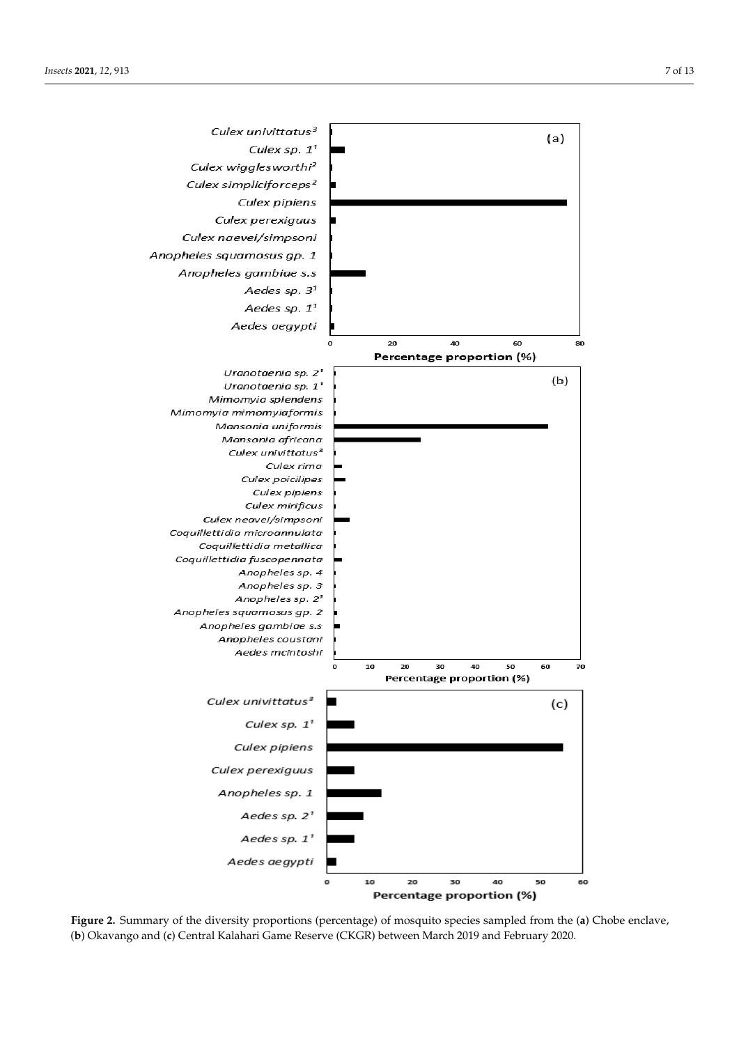<span id="page-6-0"></span>

**Figure 2.** Summary of the diversity proportions (percentage) of mosquito species sampled from the (**a**) Chobe enclave, (**b**) Okavango and (**c**) Central Kalahari Game Reserve (CKGR) between March 2019 and February 2020.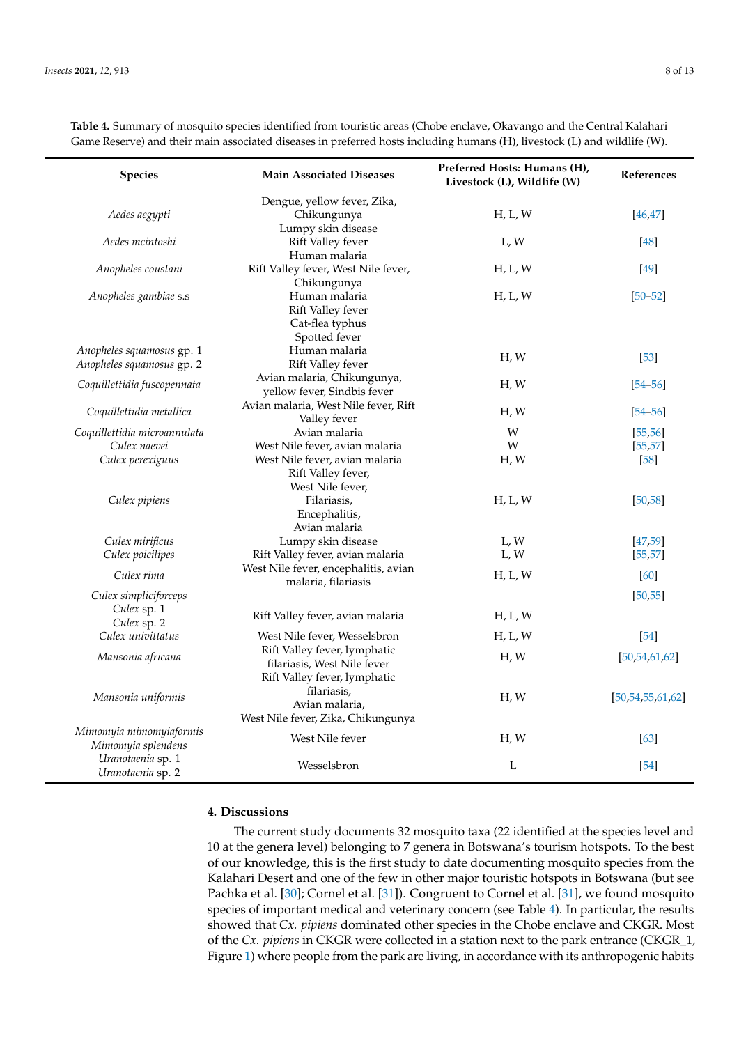| <b>Species</b>                               | <b>Main Associated Diseases</b>                 | Preferred Hosts: Humans (H),<br>Livestock (L), Wildlife (W) | References           |
|----------------------------------------------|-------------------------------------------------|-------------------------------------------------------------|----------------------|
|                                              | Dengue, yellow fever, Zika,                     |                                                             |                      |
| Aedes aegypti                                | Chikungunya                                     | H, L, W                                                     | [46, 47]             |
|                                              | Lumpy skin disease                              |                                                             |                      |
| Aedes mcintoshi                              | Rift Valley fever                               | L, W                                                        | [48]                 |
|                                              | Human malaria                                   |                                                             |                      |
| Anopheles coustani                           | Rift Valley fever, West Nile fever,             | H, L, W                                                     | $[49]$               |
| Anopheles gambiae s.s                        | Chikungunya<br>Human malaria                    | H, L, W                                                     | $[50 - 52]$          |
|                                              | Rift Valley fever                               |                                                             |                      |
|                                              | Cat-flea typhus                                 |                                                             |                      |
|                                              | Spotted fever                                   |                                                             |                      |
| Anopheles squamosus gp. 1                    | Human malaria                                   |                                                             |                      |
| Anopheles squamosus gp. 2                    | Rift Valley fever                               | H, W                                                        | $[53]$               |
| Coquillettidia fuscopennata                  | Avian malaria, Chikungunya,                     | H, W                                                        | $[54 - 56]$          |
|                                              | yellow fever, Sindbis fever                     |                                                             |                      |
| Coquillettidia metallica                     | Avian malaria, West Nile fever, Rift            | H, W                                                        | $[54 - 56]$          |
|                                              | Valley fever                                    |                                                             |                      |
| Coquillettidia microannulata<br>Culex naevei | Avian malaria<br>West Nile fever, avian malaria | W<br>W                                                      | [55, 56]             |
| Culex perexiguus                             | West Nile fever, avian malaria                  | H, W                                                        | [55, 57]<br>$[58]$   |
|                                              | Rift Valley fever,                              |                                                             |                      |
|                                              | West Nile fever,                                |                                                             |                      |
| Culex pipiens                                | Filariasis,                                     | H, L, W                                                     | [50, 58]             |
|                                              | Encephalitis,                                   |                                                             |                      |
|                                              | Avian malaria                                   |                                                             |                      |
| Culex mirificus                              | Lumpy skin disease                              | L, W                                                        | [47, 59]             |
| Culex poicilipes                             | Rift Valley fever, avian malaria                | L, W                                                        | [55, 57]             |
| Culex rima                                   | West Nile fever, encephalitis, avian            | H, L, W                                                     | [60]                 |
|                                              | malaria, filariasis                             |                                                             |                      |
| Culex simpliciforceps<br>Culex sp. 1         |                                                 |                                                             | [50, 55]             |
| Culex sp. 2                                  | Rift Valley fever, avian malaria                | H, L, W                                                     |                      |
| Culex univittatus                            | West Nile fever, Wesselsbron                    | H, L, W                                                     | $[54]$               |
|                                              | Rift Valley fever, lymphatic                    |                                                             |                      |
| Mansonia africana                            | filariasis, West Nile fever                     | H, W                                                        | [50, 54, 61, 62]     |
|                                              | Rift Valley fever, lymphatic                    |                                                             |                      |
| Mansonia uniformis                           | filariasis,                                     | H, W                                                        | [50, 54, 55, 61, 62] |
|                                              | Avian malaria,                                  |                                                             |                      |
|                                              | West Nile fever, Zika, Chikungunya              |                                                             |                      |
| Mimomyia mimomyiaformis                      | West Nile fever                                 | H, W                                                        | [63]                 |
| Mimomyia splendens                           |                                                 |                                                             |                      |
| Uranotaenia sp. 1<br>Uranotaenia sp. 2       | Wesselsbron                                     | L                                                           | $\left[54\right]$    |
|                                              |                                                 |                                                             |                      |

<span id="page-7-0"></span>**Table 4.** Summary of mosquito species identified from touristic areas (Chobe enclave, Okavango and the Central Kalahari Game Reserve) and their main associated diseases in preferred hosts including humans (H), livestock (L) and wildlife (W).

## **4. Discussions**

The current study documents 32 mosquito taxa (22 identified at the species level and 10 at the genera level) belonging to 7 genera in Botswana's tourism hotspots. To the best of our knowledge, this is the first study to date documenting mosquito species from the Kalahari Desert and one of the few in other major touristic hotspots in Botswana (but see Pachka et al. [\[30\]](#page-10-19); Cornel et al. [\[31\]](#page-10-20)). Congruent to Cornel et al. [\[31\]](#page-10-20), we found mosquito species of important medical and veterinary concern (see Table [4\)](#page-7-0). In particular, the results showed that *Cx. pipiens* dominated other species in the Chobe enclave and CKGR. Most of the *Cx. pipiens* in CKGR were collected in a station next to the park entrance (CKGR\_1, Figure [1\)](#page-2-1) where people from the park are living, in accordance with its anthropogenic habits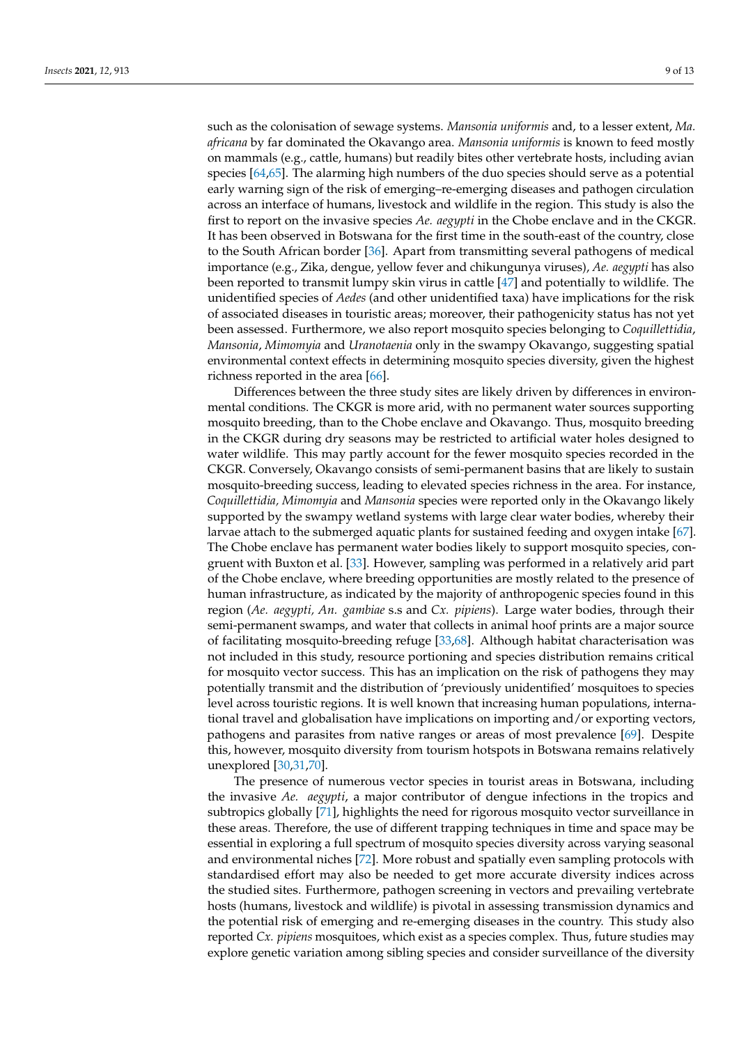such as the colonisation of sewage systems. *Mansonia uniformis* and, to a lesser extent, *Ma. africana* by far dominated the Okavango area. *Mansonia uniformis* is known to feed mostly on mammals (e.g., cattle, humans) but readily bites other vertebrate hosts, including avian species [\[64](#page-11-24)[,65\]](#page-12-0). The alarming high numbers of the duo species should serve as a potential early warning sign of the risk of emerging–re-emerging diseases and pathogen circulation across an interface of humans, livestock and wildlife in the region. This study is also the first to report on the invasive species *Ae. aegypti* in the Chobe enclave and in the CKGR. It has been observed in Botswana for the first time in the south-east of the country, close to the South African border [\[36\]](#page-10-24). Apart from transmitting several pathogens of medical importance (e.g., Zika, dengue, yellow fever and chikungunya viruses), *Ae. aegypti* has also been reported to transmit lumpy skin virus in cattle [\[47\]](#page-11-8) and potentially to wildlife. The unidentified species of *Aedes* (and other unidentified taxa) have implications for the risk of associated diseases in touristic areas; moreover, their pathogenicity status has not yet been assessed. Furthermore, we also report mosquito species belonging to *Coquillettidia*, *Mansonia*, *Mimomyia* and *Uranotaenia* only in the swampy Okavango, suggesting spatial environmental context effects in determining mosquito species diversity, given the highest richness reported in the area [\[66\]](#page-12-1).

Differences between the three study sites are likely driven by differences in environmental conditions. The CKGR is more arid, with no permanent water sources supporting mosquito breeding, than to the Chobe enclave and Okavango. Thus, mosquito breeding in the CKGR during dry seasons may be restricted to artificial water holes designed to water wildlife. This may partly account for the fewer mosquito species recorded in the CKGR. Conversely, Okavango consists of semi-permanent basins that are likely to sustain mosquito-breeding success, leading to elevated species richness in the area. For instance, *Coquillettidia, Mimomyia* and *Mansonia* species were reported only in the Okavango likely supported by the swampy wetland systems with large clear water bodies, whereby their larvae attach to the submerged aquatic plants for sustained feeding and oxygen intake [\[67\]](#page-12-2). The Chobe enclave has permanent water bodies likely to support mosquito species, congruent with Buxton et al. [\[33\]](#page-10-22). However, sampling was performed in a relatively arid part of the Chobe enclave, where breeding opportunities are mostly related to the presence of human infrastructure, as indicated by the majority of anthropogenic species found in this region (*Ae. aegypti, An. gambiae* s.s and *Cx. pipiens*). Large water bodies, through their semi-permanent swamps, and water that collects in animal hoof prints are a major source of facilitating mosquito-breeding refuge [\[33](#page-10-22)[,68\]](#page-12-3). Although habitat characterisation was not included in this study, resource portioning and species distribution remains critical for mosquito vector success. This has an implication on the risk of pathogens they may potentially transmit and the distribution of 'previously unidentified' mosquitoes to species level across touristic regions. It is well known that increasing human populations, international travel and globalisation have implications on importing and/or exporting vectors, pathogens and parasites from native ranges or areas of most prevalence [\[69\]](#page-12-4). Despite this, however, mosquito diversity from tourism hotspots in Botswana remains relatively unexplored [\[30,](#page-10-19)[31,](#page-10-20)[70\]](#page-12-5).

The presence of numerous vector species in tourist areas in Botswana, including the invasive *Ae. aegypti*, a major contributor of dengue infections in the tropics and subtropics globally [\[71\]](#page-12-6), highlights the need for rigorous mosquito vector surveillance in these areas. Therefore, the use of different trapping techniques in time and space may be essential in exploring a full spectrum of mosquito species diversity across varying seasonal and environmental niches [\[72\]](#page-12-7). More robust and spatially even sampling protocols with standardised effort may also be needed to get more accurate diversity indices across the studied sites. Furthermore, pathogen screening in vectors and prevailing vertebrate hosts (humans, livestock and wildlife) is pivotal in assessing transmission dynamics and the potential risk of emerging and re-emerging diseases in the country. This study also reported *Cx. pipiens* mosquitoes, which exist as a species complex. Thus, future studies may explore genetic variation among sibling species and consider surveillance of the diversity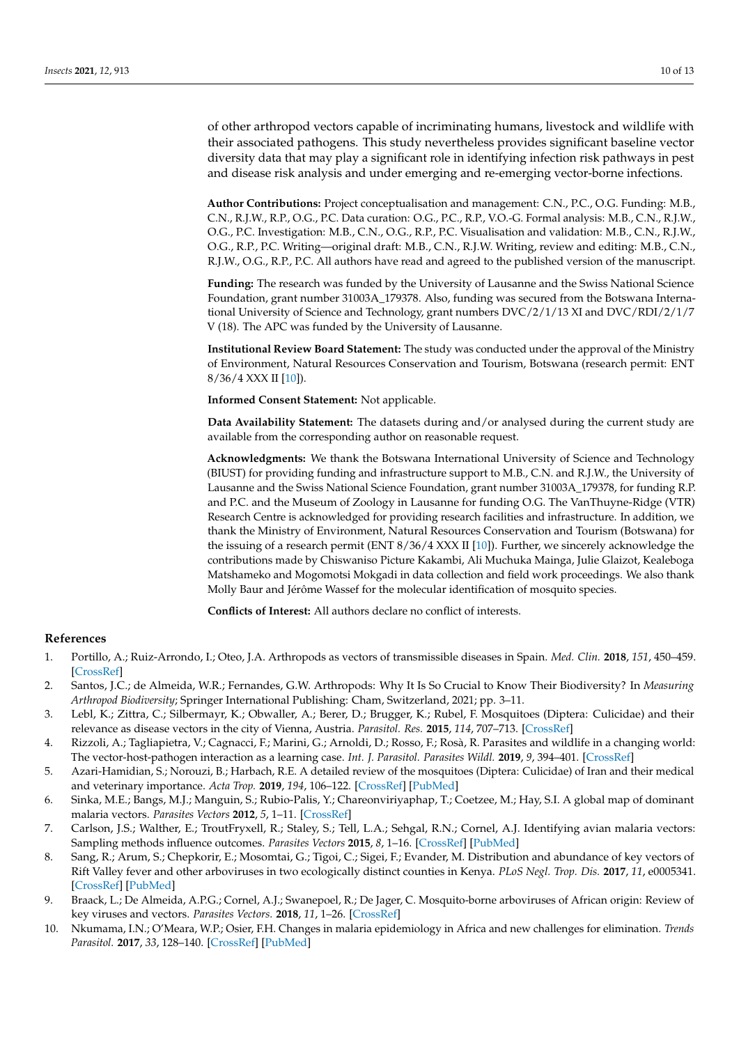of other arthropod vectors capable of incriminating humans, livestock and wildlife with their associated pathogens. This study nevertheless provides significant baseline vector diversity data that may play a significant role in identifying infection risk pathways in pest and disease risk analysis and under emerging and re-emerging vector-borne infections.

**Author Contributions:** Project conceptualisation and management: C.N., P.C., O.G. Funding: M.B., C.N., R.J.W., R.P., O.G., P.C. Data curation: O.G., P.C., R.P., V.O.-G. Formal analysis: M.B., C.N., R.J.W., O.G., P.C. Investigation: M.B., C.N., O.G., R.P., P.C. Visualisation and validation: M.B., C.N., R.J.W., O.G., R.P., P.C. Writing—original draft: M.B., C.N., R.J.W. Writing, review and editing: M.B., C.N., R.J.W., O.G., R.P., P.C. All authors have read and agreed to the published version of the manuscript.

**Funding:** The research was funded by the University of Lausanne and the Swiss National Science Foundation, grant number 31003A\_179378. Also, funding was secured from the Botswana International University of Science and Technology, grant numbers DVC/2/1/13 XI and DVC/RDI/2/1/7 V (18). The APC was funded by the University of Lausanne.

**Institutional Review Board Statement:** The study was conducted under the approval of the Ministry of Environment, Natural Resources Conservation and Tourism, Botswana (research permit: ENT 8/36/4 XXX II [\[10\]](#page-9-7)).

**Informed Consent Statement:** Not applicable.

**Data Availability Statement:** The datasets during and/or analysed during the current study are available from the corresponding author on reasonable request.

**Acknowledgments:** We thank the Botswana International University of Science and Technology (BIUST) for providing funding and infrastructure support to M.B., C.N. and R.J.W., the University of Lausanne and the Swiss National Science Foundation, grant number 31003A\_179378, for funding R.P. and P.C. and the Museum of Zoology in Lausanne for funding O.G. The VanThuyne-Ridge (VTR) Research Centre is acknowledged for providing research facilities and infrastructure. In addition, we thank the Ministry of Environment, Natural Resources Conservation and Tourism (Botswana) for the issuing of a research permit (ENT 8/36/4 XXX II [\[10\]](#page-9-7)). Further, we sincerely acknowledge the contributions made by Chiswaniso Picture Kakambi, Ali Muchuka Mainga, Julie Glaizot, Kealeboga Matshameko and Mogomotsi Mokgadi in data collection and field work proceedings. We also thank Molly Baur and Jérôme Wassef for the molecular identification of mosquito species.

**Conflicts of Interest:** All authors declare no conflict of interests.

### **References**

- <span id="page-9-0"></span>1. Portillo, A.; Ruiz-Arrondo, I.; Oteo, J.A. Arthropods as vectors of transmissible diseases in Spain. *Med. Clin.* **2018**, *151*, 450–459. [\[CrossRef\]](http://doi.org/10.1016/j.medcli.2018.06.021)
- <span id="page-9-1"></span>2. Santos, J.C.; de Almeida, W.R.; Fernandes, G.W. Arthropods: Why It Is So Crucial to Know Their Biodiversity? In *Measuring Arthropod Biodiversity*; Springer International Publishing: Cham, Switzerland, 2021; pp. 3–11.
- <span id="page-9-2"></span>3. Lebl, K.; Zittra, C.; Silbermayr, K.; Obwaller, A.; Berer, D.; Brugger, K.; Rubel, F. Mosquitoes (Diptera: Culicidae) and their relevance as disease vectors in the city of Vienna, Austria. *Parasitol. Res.* **2015**, *114*, 707–713. [\[CrossRef\]](http://doi.org/10.1007/s00436-014-4237-6)
- <span id="page-9-3"></span>4. Rizzoli, A.; Tagliapietra, V.; Cagnacci, F.; Marini, G.; Arnoldi, D.; Rosso, F.; Rosà, R. Parasites and wildlife in a changing world: The vector-host-pathogen interaction as a learning case. *Int. J. Parasitol. Parasites Wildl.* **2019**, *9*, 394–401. [\[CrossRef\]](http://doi.org/10.1016/j.ijppaw.2019.05.011)
- <span id="page-9-4"></span>5. Azari-Hamidian, S.; Norouzi, B.; Harbach, R.E. A detailed review of the mosquitoes (Diptera: Culicidae) of Iran and their medical and veterinary importance. *Acta Trop.* **2019**, *194*, 106–122. [\[CrossRef\]](http://doi.org/10.1016/j.actatropica.2019.03.019) [\[PubMed\]](http://www.ncbi.nlm.nih.gov/pubmed/30898616)
- <span id="page-9-5"></span>6. Sinka, M.E.; Bangs, M.J.; Manguin, S.; Rubio-Palis, Y.; Chareonviriyaphap, T.; Coetzee, M.; Hay, S.I. A global map of dominant malaria vectors. *Parasites Vectors* **2012**, *5*, 1–11. [\[CrossRef\]](http://doi.org/10.1186/1756-3305-5-69)
- 7. Carlson, J.S.; Walther, E.; TroutFryxell, R.; Staley, S.; Tell, L.A.; Sehgal, R.N.; Cornel, A.J. Identifying avian malaria vectors: Sampling methods influence outcomes. *Parasites Vectors* **2015**, *8*, 1–16. [\[CrossRef\]](http://doi.org/10.1186/s13071-015-0969-0) [\[PubMed\]](http://www.ncbi.nlm.nih.gov/pubmed/26160384)
- 8. Sang, R.; Arum, S.; Chepkorir, E.; Mosomtai, G.; Tigoi, C.; Sigei, F.; Evander, M. Distribution and abundance of key vectors of Rift Valley fever and other arboviruses in two ecologically distinct counties in Kenya. *PLoS Negl. Trop. Dis.* **2017**, *11*, e0005341. [\[CrossRef\]](http://doi.org/10.1371/journal.pntd.0005341) [\[PubMed\]](http://www.ncbi.nlm.nih.gov/pubmed/28212379)
- <span id="page-9-6"></span>9. Braack, L.; De Almeida, A.P.G.; Cornel, A.J.; Swanepoel, R.; De Jager, C. Mosquito-borne arboviruses of African origin: Review of key viruses and vectors. *Parasites Vectors.* **2018**, *11*, 1–26. [\[CrossRef\]](http://doi.org/10.1186/s13071-017-2559-9)
- <span id="page-9-7"></span>10. Nkumama, I.N.; O'Meara, W.P.; Osier, F.H. Changes in malaria epidemiology in Africa and new challenges for elimination. *Trends Parasitol.* **2017**, *33*, 128–140. [\[CrossRef\]](http://doi.org/10.1016/j.pt.2016.11.006) [\[PubMed\]](http://www.ncbi.nlm.nih.gov/pubmed/27939610)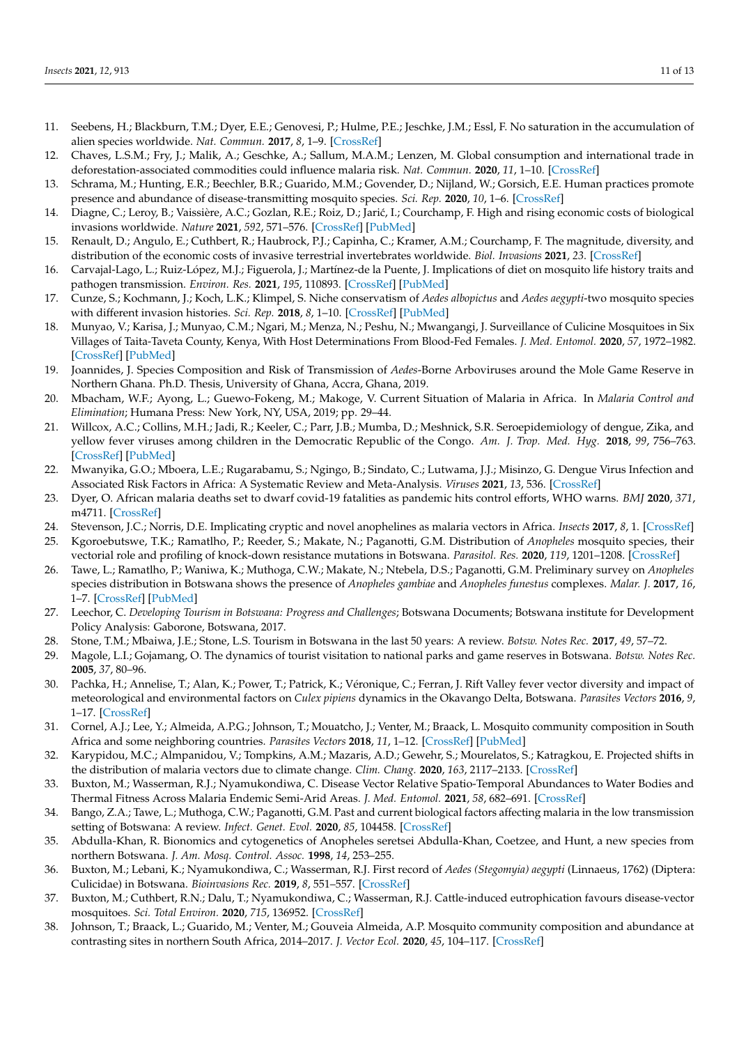- <span id="page-10-0"></span>11. Seebens, H.; Blackburn, T.M.; Dyer, E.E.; Genovesi, P.; Hulme, P.E.; Jeschke, J.M.; Essl, F. No saturation in the accumulation of alien species worldwide. *Nat. Commun.* **2017**, *8*, 1–9. [\[CrossRef\]](http://doi.org/10.1038/ncomms14435)
- <span id="page-10-1"></span>12. Chaves, L.S.M.; Fry, J.; Malik, A.; Geschke, A.; Sallum, M.A.M.; Lenzen, M. Global consumption and international trade in deforestation-associated commodities could influence malaria risk. *Nat. Commun.* **2020**, *11*, 1–10. [\[CrossRef\]](http://doi.org/10.1038/s41467-020-14954-1)
- <span id="page-10-2"></span>13. Schrama, M.; Hunting, E.R.; Beechler, B.R.; Guarido, M.M.; Govender, D.; Nijland, W.; Gorsich, E.E. Human practices promote presence and abundance of disease-transmitting mosquito species. *Sci. Rep.* **2020**, *10*, 1–6. [\[CrossRef\]](http://doi.org/10.1038/s41598-020-69858-3)
- <span id="page-10-3"></span>14. Diagne, C.; Leroy, B.; Vaissière, A.C.; Gozlan, R.E.; Roiz, D.; Jarić, I.; Courchamp, F. High and rising economic costs of biological invasions worldwide. *Nature* **2021**, *592*, 571–576. [\[CrossRef\]](http://doi.org/10.1038/s41586-021-03405-6) [\[PubMed\]](http://www.ncbi.nlm.nih.gov/pubmed/33790468)
- <span id="page-10-4"></span>15. Renault, D.; Angulo, E.; Cuthbert, R.; Haubrock, P.J.; Capinha, C.; Kramer, A.M.; Courchamp, F. The magnitude, diversity, and distribution of the economic costs of invasive terrestrial invertebrates worldwide. *Biol. Invasions* **2021**, *23*. [\[CrossRef\]](http://doi.org/10.21203/rs.3.rs-215455/v1)
- <span id="page-10-5"></span>16. Carvajal-Lago, L.; Ruiz-López, M.J.; Figuerola, J.; Martínez-de la Puente, J. Implications of diet on mosquito life history traits and pathogen transmission. *Environ. Res.* **2021**, *195*, 110893. [\[CrossRef\]](http://doi.org/10.1016/j.envres.2021.110893) [\[PubMed\]](http://www.ncbi.nlm.nih.gov/pubmed/33607093)
- <span id="page-10-6"></span>17. Cunze, S.; Kochmann, J.; Koch, L.K.; Klimpel, S. Niche conservatism of *Aedes albopictus* and *Aedes aegypti*-two mosquito species with different invasion histories. *Sci. Rep.* **2018**, *8*, 1–10. [\[CrossRef\]](http://doi.org/10.1038/s41598-018-26092-2) [\[PubMed\]](http://www.ncbi.nlm.nih.gov/pubmed/29769652)
- <span id="page-10-7"></span>18. Munyao, V.; Karisa, J.; Munyao, C.M.; Ngari, M.; Menza, N.; Peshu, N.; Mwangangi, J. Surveillance of Culicine Mosquitoes in Six Villages of Taita-Taveta County, Kenya, With Host Determinations From Blood-Fed Females. *J. Med. Entomol.* **2020**, *57*, 1972–1982. [\[CrossRef\]](http://doi.org/10.1093/jme/tjaa109) [\[PubMed\]](http://www.ncbi.nlm.nih.gov/pubmed/32533693)
- <span id="page-10-8"></span>19. Joannides, J. Species Composition and Risk of Transmission of *Aedes*-Borne Arboviruses around the Mole Game Reserve in Northern Ghana. Ph.D. Thesis, University of Ghana, Accra, Ghana, 2019.
- <span id="page-10-9"></span>20. Mbacham, W.F.; Ayong, L.; Guewo-Fokeng, M.; Makoge, V. Current Situation of Malaria in Africa. In *Malaria Control and Elimination*; Humana Press: New York, NY, USA, 2019; pp. 29–44.
- <span id="page-10-10"></span>21. Willcox, A.C.; Collins, M.H.; Jadi, R.; Keeler, C.; Parr, J.B.; Mumba, D.; Meshnick, S.R. Seroepidemiology of dengue, Zika, and yellow fever viruses among children in the Democratic Republic of the Congo. *Am. J. Trop. Med. Hyg.* **2018**, *99*, 756–763. [\[CrossRef\]](http://doi.org/10.4269/ajtmh.18-0156) [\[PubMed\]](http://www.ncbi.nlm.nih.gov/pubmed/29988000)
- <span id="page-10-11"></span>22. Mwanyika, G.O.; Mboera, L.E.; Rugarabamu, S.; Ngingo, B.; Sindato, C.; Lutwama, J.J.; Misinzo, G. Dengue Virus Infection and Associated Risk Factors in Africa: A Systematic Review and Meta-Analysis. *Viruses* **2021**, *13*, 536. [\[CrossRef\]](http://doi.org/10.3390/v13040536)
- <span id="page-10-12"></span>23. Dyer, O. African malaria deaths set to dwarf covid-19 fatalities as pandemic hits control efforts, WHO warns. *BMJ* **2020**, *371*, m4711. [\[CrossRef\]](http://doi.org/10.1136/bmj.m4711)
- <span id="page-10-13"></span>24. Stevenson, J.C.; Norris, D.E. Implicating cryptic and novel anophelines as malaria vectors in Africa. *Insects* **2017**, *8*, 1. [\[CrossRef\]](http://doi.org/10.3390/insects8010001)
- <span id="page-10-14"></span>25. Kgoroebutswe, T.K.; Ramatlho, P.; Reeder, S.; Makate, N.; Paganotti, G.M. Distribution of *Anopheles* mosquito species, their vectorial role and profiling of knock-down resistance mutations in Botswana. *Parasitol. Res.* **2020**, *119*, 1201–1208. [\[CrossRef\]](http://doi.org/10.1007/s00436-020-06614-6)
- <span id="page-10-15"></span>26. Tawe, L.; Ramatlho, P.; Waniwa, K.; Muthoga, C.W.; Makate, N.; Ntebela, D.S.; Paganotti, G.M. Preliminary survey on *Anopheles* species distribution in Botswana shows the presence of *Anopheles gambiae* and *Anopheles funestus* complexes. *Malar. J.* **2017**, *16*, 1–7. [\[CrossRef\]](http://doi.org/10.1186/s12936-017-1756-5) [\[PubMed\]](http://www.ncbi.nlm.nih.gov/pubmed/28270213)
- <span id="page-10-16"></span>27. Leechor, C. *Developing Tourism in Botswana: Progress and Challenges*; Botswana Documents; Botswana institute for Development Policy Analysis: Gaborone, Botswana, 2017.
- <span id="page-10-17"></span>28. Stone, T.M.; Mbaiwa, J.E.; Stone, L.S. Tourism in Botswana in the last 50 years: A review. *Botsw. Notes Rec.* **2017**, *49*, 57–72.
- <span id="page-10-18"></span>29. Magole, L.I.; Gojamang, O. The dynamics of tourist visitation to national parks and game reserves in Botswana. *Botsw. Notes Rec.* **2005**, *37*, 80–96.
- <span id="page-10-19"></span>30. Pachka, H.; Annelise, T.; Alan, K.; Power, T.; Patrick, K.; Véronique, C.; Ferran, J. Rift Valley fever vector diversity and impact of meteorological and environmental factors on *Culex pipiens* dynamics in the Okavango Delta, Botswana. *Parasites Vectors* **2016**, *9*, 1–17. [\[CrossRef\]](http://doi.org/10.1186/s13071-016-1712-1)
- <span id="page-10-20"></span>31. Cornel, A.J.; Lee, Y.; Almeida, A.P.G.; Johnson, T.; Mouatcho, J.; Venter, M.; Braack, L. Mosquito community composition in South Africa and some neighboring countries. *Parasites Vectors* **2018**, *11*, 1–12. [\[CrossRef\]](http://doi.org/10.1186/s13071-018-2824-6) [\[PubMed\]](http://www.ncbi.nlm.nih.gov/pubmed/29859109)
- <span id="page-10-21"></span>32. Karypidou, M.C.; Almpanidou, V.; Tompkins, A.M.; Mazaris, A.D.; Gewehr, S.; Mourelatos, S.; Katragkou, E. Projected shifts in the distribution of malaria vectors due to climate change. *Clim. Chang.* **2020**, *163*, 2117–2133. [\[CrossRef\]](http://doi.org/10.1007/s10584-020-02926-9)
- <span id="page-10-22"></span>33. Buxton, M.; Wasserman, R.J.; Nyamukondiwa, C. Disease Vector Relative Spatio-Temporal Abundances to Water Bodies and Thermal Fitness Across Malaria Endemic Semi-Arid Areas. *J. Med. Entomol.* **2021**, *58*, 682–691. [\[CrossRef\]](http://doi.org/10.1093/jme/tjaa221)
- 34. Bango, Z.A.; Tawe, L.; Muthoga, C.W.; Paganotti, G.M. Past and current biological factors affecting malaria in the low transmission setting of Botswana: A review. *Infect. Genet. Evol.* **2020**, *85*, 104458. [\[CrossRef\]](http://doi.org/10.1016/j.meegid.2020.104458)
- <span id="page-10-23"></span>35. Abdulla-Khan, R. Bionomics and cytogenetics of Anopheles seretsei Abdulla-Khan, Coetzee, and Hunt, a new species from northern Botswana. *J. Am. Mosq. Control. Assoc.* **1998**, *14*, 253–255.
- <span id="page-10-24"></span>36. Buxton, M.; Lebani, K.; Nyamukondiwa, C.; Wasserman, R.J. First record of *Aedes (Stegomyia) aegypti* (Linnaeus, 1762) (Diptera: Culicidae) in Botswana. *Bioinvasions Rec.* **2019**, *8*, 551–557. [\[CrossRef\]](http://doi.org/10.3391/bir.2019.8.3.10)
- <span id="page-10-25"></span>37. Buxton, M.; Cuthbert, R.N.; Dalu, T.; Nyamukondiwa, C.; Wasserman, R.J. Cattle-induced eutrophication favours disease-vector mosquitoes. *Sci. Total Environ.* **2020**, *715*, 136952. [\[CrossRef\]](http://doi.org/10.1016/j.scitotenv.2020.136952)
- <span id="page-10-26"></span>38. Johnson, T.; Braack, L.; Guarido, M.; Venter, M.; Gouveia Almeida, A.P. Mosquito community composition and abundance at contrasting sites in northern South Africa, 2014–2017. *J. Vector Ecol.* **2020**, *45*, 104–117. [\[CrossRef\]](http://doi.org/10.1111/jvec.12378)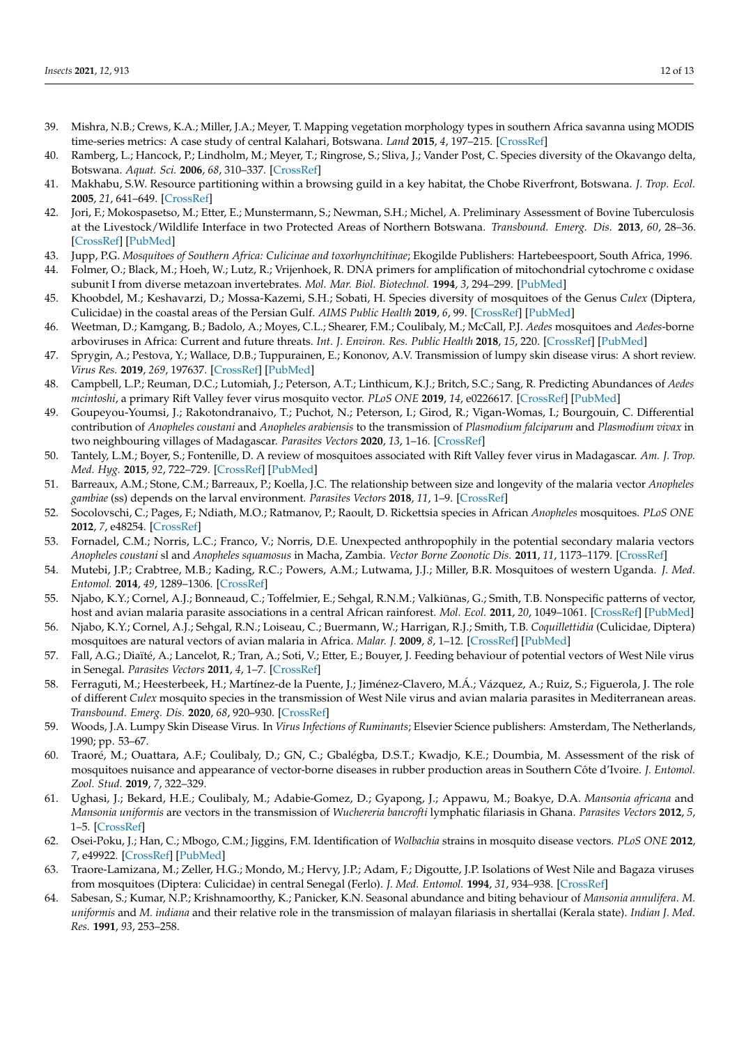- <span id="page-11-0"></span>39. Mishra, N.B.; Crews, K.A.; Miller, J.A.; Meyer, T. Mapping vegetation morphology types in southern Africa savanna using MODIS time-series metrics: A case study of central Kalahari, Botswana. *Land* **2015**, *4*, 197–215. [\[CrossRef\]](http://doi.org/10.3390/land4010197)
- <span id="page-11-1"></span>40. Ramberg, L.; Hancock, P.; Lindholm, M.; Meyer, T.; Ringrose, S.; Sliva, J.; Vander Post, C. Species diversity of the Okavango delta, Botswana. *Aquat. Sci.* **2006**, *68*, 310–337. [\[CrossRef\]](http://doi.org/10.1007/s00027-006-0857-y)
- <span id="page-11-2"></span>41. Makhabu, S.W. Resource partitioning within a browsing guild in a key habitat, the Chobe Riverfront, Botswana. *J. Trop. Ecol.* **2005**, *21*, 641–649. [\[CrossRef\]](http://doi.org/10.1017/S0266467405002701)
- <span id="page-11-3"></span>42. Jori, F.; Mokospasetso, M.; Etter, E.; Munstermann, S.; Newman, S.H.; Michel, A. Preliminary Assessment of Bovine Tuberculosis at the Livestock/Wildlife Interface in two Protected Areas of Northern Botswana. *Transbound. Emerg. Dis.* **2013**, *60*, 28–36. [\[CrossRef\]](http://doi.org/10.1111/tbed.12110) [\[PubMed\]](http://www.ncbi.nlm.nih.gov/pubmed/24171846)
- <span id="page-11-5"></span><span id="page-11-4"></span>43. Jupp, P.G. *Mosquitoes of Southern Africa: Culicinae and toxorhynchitinae*; Ekogilde Publishers: Hartebeespoort, South Africa, 1996. 44. Folmer, O.; Black, M.; Hoeh, W.; Lutz, R.; Vrijenhoek, R. DNA primers for amplification of mitochondrial cytochrome c oxidase
- subunit I from diverse metazoan invertebrates. *Mol. Mar. Biol. Biotechnol.* **1994**, *3*, 294–299. [\[PubMed\]](http://www.ncbi.nlm.nih.gov/pubmed/7881515)
- <span id="page-11-6"></span>45. Khoobdel, M.; Keshavarzi, D.; Mossa-Kazemi, S.H.; Sobati, H. Species diversity of mosquitoes of the Genus *Culex* (Diptera, Culicidae) in the coastal areas of the Persian Gulf. *AIMS Public Health* **2019**, *6*, 99. [\[CrossRef\]](http://doi.org/10.3934/publichealth.2019.2.99) [\[PubMed\]](http://www.ncbi.nlm.nih.gov/pubmed/31297396)
- <span id="page-11-7"></span>46. Weetman, D.; Kamgang, B.; Badolo, A.; Moyes, C.L.; Shearer, F.M.; Coulibaly, M.; McCall, P.J. *Aedes* mosquitoes and *Aedes*-borne arboviruses in Africa: Current and future threats. *Int. J. Environ. Res. Public Health* **2018**, *15*, 220. [\[CrossRef\]](http://doi.org/10.3390/ijerph15020220) [\[PubMed\]](http://www.ncbi.nlm.nih.gov/pubmed/29382107)
- <span id="page-11-8"></span>47. Sprygin, A.; Pestova, Y.; Wallace, D.B.; Tuppurainen, E.; Kononov, A.V. Transmission of lumpy skin disease virus: A short review. *Virus Res.* **2019**, *269*, 197637. [\[CrossRef\]](http://doi.org/10.1016/j.virusres.2019.05.015) [\[PubMed\]](http://www.ncbi.nlm.nih.gov/pubmed/31152757)
- <span id="page-11-9"></span>48. Campbell, L.P.; Reuman, D.C.; Lutomiah, J.; Peterson, A.T.; Linthicum, K.J.; Britch, S.C.; Sang, R. Predicting Abundances of *Aedes mcintoshi*, a primary Rift Valley fever virus mosquito vector. *PLoS ONE* **2019**, *14*, e0226617. [\[CrossRef\]](http://doi.org/10.1371/journal.pone.0226617) [\[PubMed\]](http://www.ncbi.nlm.nih.gov/pubmed/31846495)
- <span id="page-11-10"></span>49. Goupeyou-Youmsi, J.; Rakotondranaivo, T.; Puchot, N.; Peterson, I.; Girod, R.; Vigan-Womas, I.; Bourgouin, C. Differential contribution of *Anopheles coustani* and *Anopheles arabiensis* to the transmission of *Plasmodium falciparum* and *Plasmodium vivax* in two neighbouring villages of Madagascar. *Parasites Vectors* **2020**, *13*, 1–16. [\[CrossRef\]](http://doi.org/10.1186/s13071-020-04282-0)
- <span id="page-11-11"></span>50. Tantely, L.M.; Boyer, S.; Fontenille, D. A review of mosquitoes associated with Rift Valley fever virus in Madagascar. *Am. J. Trop. Med. Hyg.* **2015**, *92*, 722–729. [\[CrossRef\]](http://doi.org/10.4269/ajtmh.14-0421) [\[PubMed\]](http://www.ncbi.nlm.nih.gov/pubmed/25732680)
- 51. Barreaux, A.M.; Stone, C.M.; Barreaux, P.; Koella, J.C. The relationship between size and longevity of the malaria vector *Anopheles gambiae* (ss) depends on the larval environment. *Parasites Vectors* **2018**, *11*, 1–9. [\[CrossRef\]](http://doi.org/10.1186/s13071-018-3058-3)
- <span id="page-11-12"></span>52. Socolovschi, C.; Pages, F.; Ndiath, M.O.; Ratmanov, P.; Raoult, D. Rickettsia species in African *Anopheles* mosquitoes. *PLoS ONE* **2012**, *7*, e48254. [\[CrossRef\]](http://doi.org/10.1371/journal.pone.0048254)
- <span id="page-11-13"></span>53. Fornadel, C.M.; Norris, L.C.; Franco, V.; Norris, D.E. Unexpected anthropophily in the potential secondary malaria vectors *Anopheles coustani* sl and *Anopheles squamosus* in Macha, Zambia. *Vector Borne Zoonotic Dis.* **2011**, *11*, 1173–1179. [\[CrossRef\]](http://doi.org/10.1089/vbz.2010.0082)
- <span id="page-11-14"></span>54. Mutebi, J.P.; Crabtree, M.B.; Kading, R.C.; Powers, A.M.; Lutwama, J.J.; Miller, B.R. Mosquitoes of western Uganda. *J. Med. Entomol.* **2014**, *49*, 1289–1306. [\[CrossRef\]](http://doi.org/10.1603/ME12111)
- <span id="page-11-16"></span>55. Njabo, K.Y.; Cornel, A.J.; Bonneaud, C.; Toffelmier, E.; Sehgal, R.N.M.; Valkiūnas, G.; Smith, T.B. Nonspecific patterns of vector, host and avian malaria parasite associations in a central African rainforest. *Mol. Ecol.* **2011**, *20*, 1049–1061. [\[CrossRef\]](http://doi.org/10.1111/j.1365-294X.2010.04904.x) [\[PubMed\]](http://www.ncbi.nlm.nih.gov/pubmed/21134011)
- <span id="page-11-15"></span>56. Njabo, K.Y.; Cornel, A.J.; Sehgal, R.N.; Loiseau, C.; Buermann, W.; Harrigan, R.J.; Smith, T.B. *Coquillettidia* (Culicidae, Diptera) mosquitoes are natural vectors of avian malaria in Africa. *Malar. J.* **2009**, *8*, 1–12. [\[CrossRef\]](http://doi.org/10.1186/1475-2875-8-193) [\[PubMed\]](http://www.ncbi.nlm.nih.gov/pubmed/19664282)
- <span id="page-11-17"></span>57. Fall, A.G.; Diaïté, A.; Lancelot, R.; Tran, A.; Soti, V.; Etter, E.; Bouyer, J. Feeding behaviour of potential vectors of West Nile virus in Senegal. *Parasites Vectors* **2011**, *4*, 1–7. [\[CrossRef\]](http://doi.org/10.1186/1756-3305-4-99)
- <span id="page-11-18"></span>58. Ferraguti, M.; Heesterbeek, H.; Martínez-de la Puente, J.; Jiménez-Clavero, M.Á.; Vázquez, A.; Ruiz, S.; Figuerola, J. The role of different *Culex* mosquito species in the transmission of West Nile virus and avian malaria parasites in Mediterranean areas. *Transbound. Emerg. Dis.* **2020**, *68*, 920–930. [\[CrossRef\]](http://doi.org/10.1111/tbed.13760)
- <span id="page-11-19"></span>59. Woods, J.A. Lumpy Skin Disease Virus. In *Virus Infections of Ruminants*; Elsevier Science publishers: Amsterdam, The Netherlands, 1990; pp. 53–67.
- <span id="page-11-20"></span>60. Traoré, M.; Ouattara, A.F.; Coulibaly, D.; GN, C.; Gbalégba, D.S.T.; Kwadjo, K.E.; Doumbia, M. Assessment of the risk of mosquitoes nuisance and appearance of vector-borne diseases in rubber production areas in Southern Côte d'Ivoire. *J. Entomol. Zool. Stud.* **2019**, *7*, 322–329.
- <span id="page-11-21"></span>61. Ughasi, J.; Bekard, H.E.; Coulibaly, M.; Adabie-Gomez, D.; Gyapong, J.; Appawu, M.; Boakye, D.A. *Mansonia africana* and *Mansonia uniformis* are vectors in the transmission of *Wuchereria bancrofti* lymphatic filariasis in Ghana. *Parasites Vectors* **2012**, *5*, 1–5. [\[CrossRef\]](http://doi.org/10.1186/1756-3305-5-89)
- <span id="page-11-22"></span>62. Osei-Poku, J.; Han, C.; Mbogo, C.M.; Jiggins, F.M. Identification of *Wolbachia* strains in mosquito disease vectors. *PLoS ONE* **2012**, *7*, e49922. [\[CrossRef\]](http://doi.org/10.1371/journal.pone.0049922) [\[PubMed\]](http://www.ncbi.nlm.nih.gov/pubmed/23185484)
- <span id="page-11-23"></span>63. Traore-Lamizana, M.; Zeller, H.G.; Mondo, M.; Hervy, J.P.; Adam, F.; Digoutte, J.P. Isolations of West Nile and Bagaza viruses from mosquitoes (Diptera: Culicidae) in central Senegal (Ferlo). *J. Med. Entomol.* **1994**, *31*, 934–938. [\[CrossRef\]](http://doi.org/10.1093/jmedent/31.6.934)
- <span id="page-11-24"></span>64. Sabesan, S.; Kumar, N.P.; Krishnamoorthy, K.; Panicker, K.N. Seasonal abundance and biting behaviour of *Mansonia annulifera*. *M. uniformis* and *M. indiana* and their relative role in the transmission of malayan filariasis in shertallai (Kerala state). *Indian J. Med. Res.* **1991**, *93*, 253–258.